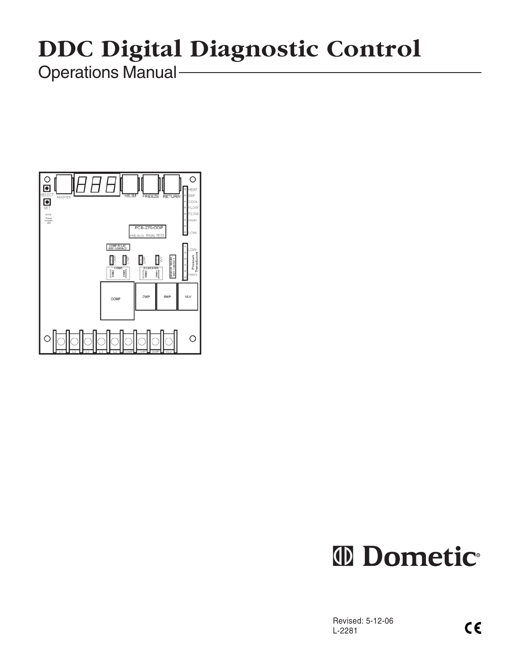# **DDC Digital Diagnostic Control**

Operations Manual



## **ID** Dometic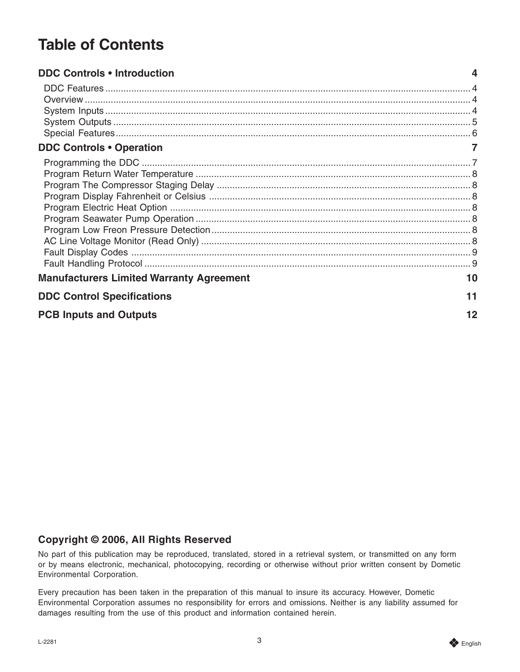## **Table of Contents**

| <b>DDC Controls • Introduction</b>              |    |  |
|-------------------------------------------------|----|--|
|                                                 |    |  |
|                                                 |    |  |
|                                                 |    |  |
|                                                 |    |  |
|                                                 |    |  |
| <b>DDC Controls • Operation</b>                 |    |  |
|                                                 |    |  |
|                                                 |    |  |
|                                                 |    |  |
|                                                 |    |  |
|                                                 |    |  |
|                                                 |    |  |
|                                                 |    |  |
|                                                 |    |  |
|                                                 |    |  |
|                                                 |    |  |
| <b>Manufacturers Limited Warranty Agreement</b> | 10 |  |
| <b>DDC Control Specifications</b>               |    |  |
| <b>PCB Inputs and Outputs</b>                   | 12 |  |

#### **Copyright © 2006, All Rights Reserved**

No part of this publication may be reproduced, translated, stored in a retrieval system, or transmitted on any form or by means electronic, mechanical, photocopying, recording or otherwise without prior written consent by Dometic Environmental Corporation.

Every precaution has been taken in the preparation of this manual to insure its accuracy. However, Dometic Environmental Corporation assumes no responsibility for errors and omissions. Neither is any liability assumed for damages resulting from the use of this product and information contained herein.

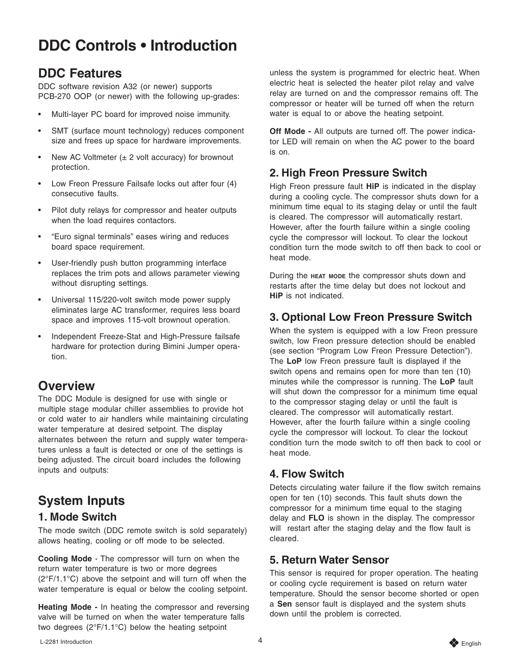## <span id="page-3-0"></span>**DDC Controls • Introduction**

#### **DDC Features**

DDC software revision A32 (or newer) supports PCB-270 OOP (or newer) with the following up-grades:

- Multi-layer PC board for improved noise immunity.
- SMT (surface mount technology) reduces component size and frees up space for hardware improvements.
- New AC Voltmeter  $(\pm 2 \text{ volt accuracy})$  for brownout protection.
- Low Freon Pressure Failsafe locks out after four (4) consecutive faults.
- Pilot duty relays for compressor and heater outputs when the load requires contactors.
- "Euro signal terminals" eases wiring and reduces board space requirement.
- User-friendly push button programming interface replaces the trim pots and allows parameter viewing without disrupting settings.
- Universal 115/220-volt switch mode power supply eliminates large AC transformer, requires less board space and improves 115-volt brownout operation.
- Independent Freeze-Stat and High-Pressure failsafe hardware for protection during Bimini Jumper operation.

#### **Overview**

The DDC Module is designed for use with single or multiple stage modular chiller assemblies to provide hot or cold water to air handlers while maintaining circulating water temperature at desired setpoint. The display alternates between the return and supply water temperatures unless a fault is detected or one of the settings is being adjusted. The circuit board includes the following inputs and outputs:

## **System Inputs**

#### **1. Mode Switch**

The mode switch (DDC remote switch is sold separately) allows heating, cooling or off mode to be selected.

**Cooling Mode** - The compressor will turn on when the return water temperature is two or more degrees (2°F/1.1°C) above the setpoint and will turn off when the water temperature is equal or below the cooling setpoint.

**Heating Mode -** In heating the compressor and reversing valve will be turned on when the water temperature falls two degrees (2°F/1.1°C) below the heating setpoint

unless the system is programmed for electric heat. When electric heat is selected the heater pilot relay and valve relay are turned on and the compressor remains off. The compressor or heater will be turned off when the return water is equal to or above the heating setpoint.

**Off Mode -** All outputs are turned off. The power indicator LED will remain on when the AC power to the board is on.

#### **2. High Freon Pressure Switch**

High Freon pressure fault **HiP** is indicated in the display during a cooling cycle. The compressor shuts down for a minimum time equal to its staging delay or until the fault is cleared. The compressor will automatically restart. However, after the fourth failure within a single cooling cycle the compressor will lockout. To clear the lockout condition turn the mode switch to off then back to cool or heat mode.

During the **HEAT MODE** the compressor shuts down and restarts after the time delay but does not lockout and **HiP** is not indicated.

#### **3. Optional Low Freon Pressure Switch**

When the system is equipped with a low Freon pressure switch, low Freon pressure detection should be enabled (see section "Program Low Freon Pressure Detection"). The **LoP** low Freon pressure fault is displayed if the switch opens and remains open for more than ten (10) minutes while the compressor is running. The **LoP** fault will shut down the compressor for a minimum time equal to the compressor staging delay or until the fault is cleared. The compressor will automatically restart. However, after the fourth failure within a single cooling cycle the compressor will lockout. To clear the lockout condition turn the mode switch to off then back to cool or heat mode.

#### **4. Flow Switch**

Detects circulating water failure if the flow switch remains open for ten (10) seconds. This fault shuts down the compressor for a minimum time equal to the staging delay and **FLO** is shown in the display. The compressor will restart after the staging delay and the flow fault is cleared.

#### **5. Return Water Sensor**

This sensor is required for proper operation. The heating or cooling cycle requirement is based on return water temperature. Should the sensor become shorted or open a **Sen** sensor fault is displayed and the system shuts down until the problem is corrected.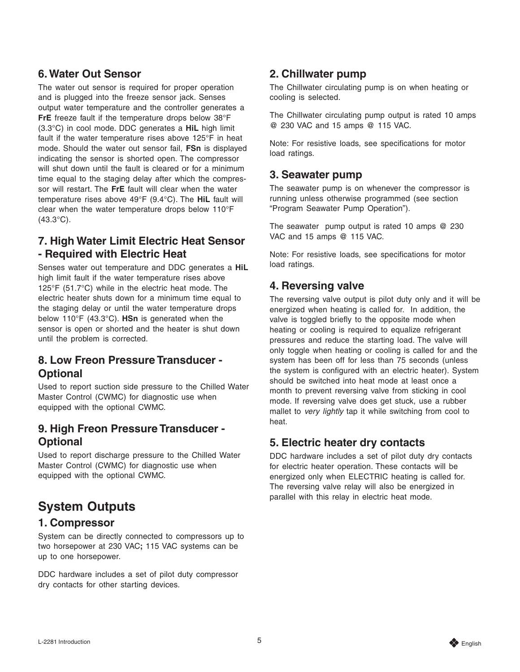#### <span id="page-4-0"></span>**6. Water Out Sensor**

The water out sensor is required for proper operation and is plugged into the freeze sensor jack. Senses output water temperature and the controller generates a **FrE** freeze fault if the temperature drops below 38°F (3.3°C) in cool mode. DDC generates a **HiL** high limit fault if the water temperature rises above 125°F in heat mode. Should the water out sensor fail, **FSn** is displayed indicating the sensor is shorted open. The compressor will shut down until the fault is cleared or for a minimum time equal to the staging delay after which the compressor will restart. The **FrE** fault will clear when the water temperature rises above 49°F (9.4°C). The **HiL** fault will clear when the water temperature drops below 110°F  $(43.3^{\circ}C).$ 

#### **7. High Water Limit Electric Heat Sensor - Required with Electric Heat**

Senses water out temperature and DDC generates a **HiL** high limit fault if the water temperature rises above 125°F (51.7°C) while in the electric heat mode. The electric heater shuts down for a minimum time equal to the staging delay or until the water temperature drops below 110°F (43.3°C). **HSn** is generated when the sensor is open or shorted and the heater is shut down until the problem is corrected.

#### **8. Low Freon Pressure Transducer - Optional**

Used to report suction side pressure to the Chilled Water Master Control (CWMC) for diagnostic use when equipped with the optional CWMC.

#### **9. High Freon Pressure Transducer - Optional**

Used to report discharge pressure to the Chilled Water Master Control (CWMC) for diagnostic use when equipped with the optional CWMC.

### **System Outputs**

#### **1. Compressor**

System can be directly connected to compressors up to two horsepower at 230 VAC**;** 115 VAC systems can be up to one horsepower.

DDC hardware includes a set of pilot duty compressor dry contacts for other starting devices.

#### **2. Chillwater pump**

The Chillwater circulating pump is on when heating or cooling is selected.

The Chillwater circulating pump output is rated 10 amps @ 230 VAC and 15 amps @ 115 VAC.

Note: For resistive loads, see specifications for motor load ratings.

#### **3. Seawater pump**

The seawater pump is on whenever the compressor is running unless otherwise programmed (see section "Program Seawater Pump Operation").

The seawater pump output is rated 10 amps @ 230 VAC and 15 amps @ 115 VAC.

Note: For resistive loads, see specifications for motor load ratings.

#### **4. Reversing valve**

The reversing valve output is pilot duty only and it will be energized when heating is called for. In addition, the valve is toggled briefly to the opposite mode when heating or cooling is required to equalize refrigerant pressures and reduce the starting load. The valve will only toggle when heating or cooling is called for and the system has been off for less than 75 seconds (unless the system is configured with an electric heater). System should be switched into heat mode at least once a month to prevent reversing valve from sticking in cool mode. If reversing valve does get stuck, use a rubber mallet to very lightly tap it while switching from cool to heat.

#### **5. Electric heater dry contacts**

DDC hardware includes a set of pilot duty dry contacts for electric heater operation. These contacts will be energized only when ELECTRIC heating is called for. The reversing valve relay will also be energized in parallel with this relay in electric heat mode.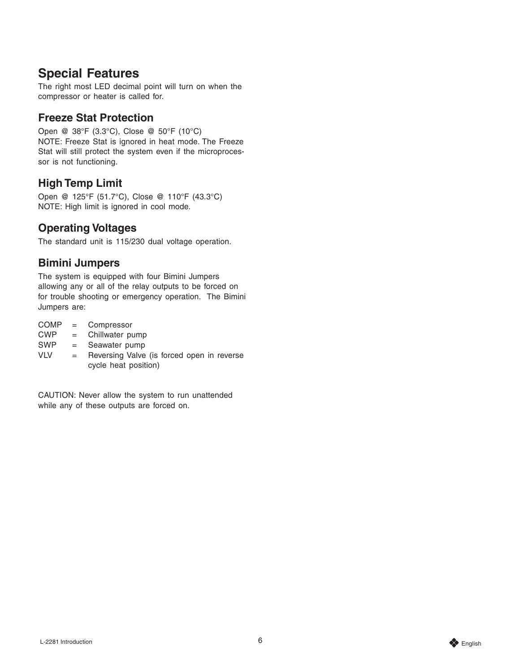#### <span id="page-5-0"></span>**Special Features**

The right most LED decimal point will turn on when the compressor or heater is called for.

#### **Freeze Stat Protection**

Open @ 38°F (3.3°C), Close @ 50°F (10°C) NOTE: Freeze Stat is ignored in heat mode. The Freeze Stat will still protect the system even if the microprocessor is not functioning.

#### **High Temp Limit**

Open @ 125°F (51.7°C), Close @ 110°F (43.3°C) NOTE: High limit is ignored in cool mode.

#### **Operating Voltages**

The standard unit is 115/230 dual voltage operation.

#### **Bimini Jumpers**

The system is equipped with four Bimini Jumpers allowing any or all of the relay outputs to be forced on for trouble shooting or emergency operation. The Bimini Jumpers are:

- COMP = Compressor
- CWP = Chillwater pump
- SWP = Seawater pump
- $VLV =$  Reversing Valve (is forced open in reverse cycle heat position)

CAUTION: Never allow the system to run unattended while any of these outputs are forced on.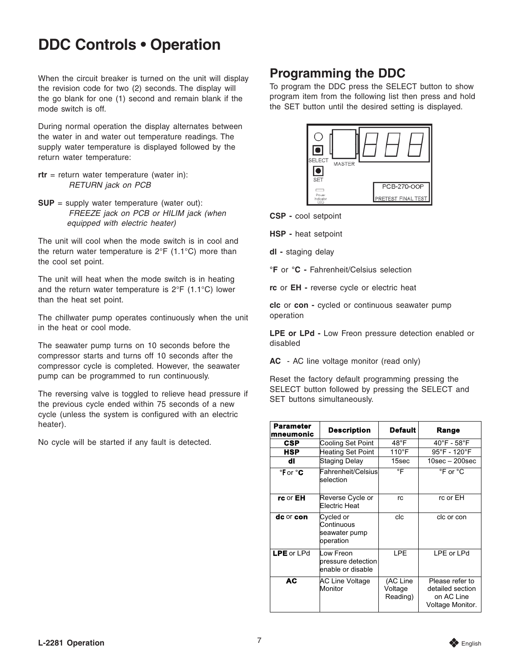## <span id="page-6-0"></span>**DDC Controls • Operation**

When the circuit breaker is turned on the unit will display the revision code for two (2) seconds. The display will the go blank for one (1) second and remain blank if the mode switch is off.

During normal operation the display alternates between the water in and water out temperature readings. The supply water temperature is displayed followed by the return water temperature:

- **rtr** = return water temperature (water in): RETURN jack on PCB
- **SUP** = supply water temperature (water out): FREEZE jack on PCB or HILIM jack (when equipped with electric heater)

The unit will cool when the mode switch is in cool and the return water temperature is  $2^{\circ}F$  (1.1 $^{\circ}C$ ) more than the cool set point.

The unit will heat when the mode switch is in heating and the return water temperature is 2°F (1.1°C) lower than the heat set point.

The chillwater pump operates continuously when the unit in the heat or cool mode.

The seawater pump turns on 10 seconds before the compressor starts and turns off 10 seconds after the compressor cycle is completed. However, the seawater pump can be programmed to run continuously.

The reversing valve is toggled to relieve head pressure if the previous cycle ended within 75 seconds of a new cycle (unless the system is configured with an electric heater).

No cycle will be started if any fault is detected.

#### **Programming the DDC**

To program the DDC press the SELECT button to show program item from the following list then press and hold the SET button until the desired setting is displayed.



**CSP -** cool setpoint

**HSP -** heat setpoint

**dl -** staging delay

**°F** or **°C -** Fahrenheit/Celsius selection

**rc** or **EH -** reverse cycle or electric heat

**clc** or **con -** cycled or continuous seawater pump operation

**LPE or LPd -** Low Freon pressure detection enabled or disabled

**AC** - AC line voltage monitor (read only)

Reset the factory default programming pressing the SELECT button followed by pressing the SELECT and SET buttons simultaneously.

| Parameter<br>mneumonic | <b>Description</b>                                    | <b>Default</b>                  | Range                                                                 |
|------------------------|-------------------------------------------------------|---------------------------------|-----------------------------------------------------------------------|
| <b>CSP</b>             | Cooling Set Point                                     | $48^{\circ}$ F                  | $40^{\circ}$ F - 58 $^{\circ}$ F                                      |
| HSP                    | <b>Heating Set Point</b>                              | $110^{\circ}$ F                 | $95^{\circ}$ F - 120 $^{\circ}$ F                                     |
| dl                     | Staging Delay                                         | 15sec                           | $10$ sec $-200$ sec                                                   |
| °For °C                | Fahrenheit/Celsius<br>selection                       | °F                              | $^{\circ}$ F or $^{\circ}$ C                                          |
| rc or EH               | Reverse Cycle or<br>Electric Heat                     | rc                              | rc or EH                                                              |
| dc or con              | Cycled or<br>Continuous<br>seawater pump<br>operation | clc                             | clc or con                                                            |
| <b>LPE</b> or LPd      | Low Freon<br>pressure detection<br>enable or disable  | LPE.                            | LPE or LPd                                                            |
| <b>AC</b>              | <b>AC Line Voltage</b><br>Monitor                     | (AC Line<br>Voltage<br>Reading) | Please refer to<br>detailed section<br>on AC Line<br>Voltage Monitor. |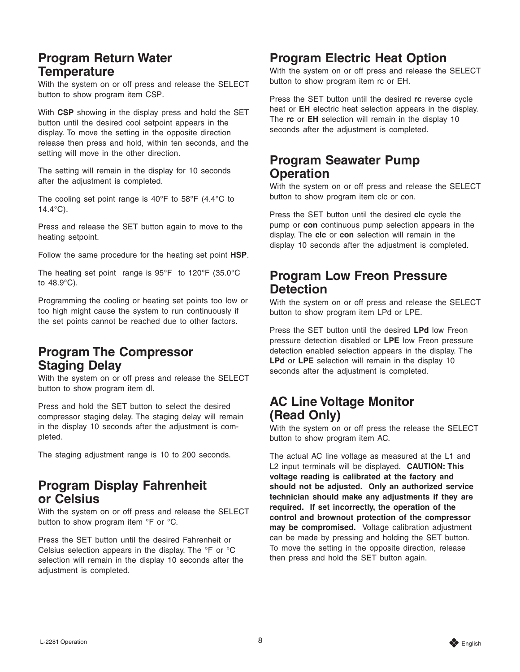#### <span id="page-7-0"></span>**Program Return Water Temperature**

With the system on or off press and release the SELECT button to show program item CSP.

With **CSP** showing in the display press and hold the SET button until the desired cool setpoint appears in the display. To move the setting in the opposite direction release then press and hold, within ten seconds, and the setting will move in the other direction.

The setting will remain in the display for 10 seconds after the adjustment is completed.

The cooling set point range is 40 $\degree$ F to 58 $\degree$ F (4.4 $\degree$ C to 14.4°C).

Press and release the SET button again to move to the heating setpoint.

Follow the same procedure for the heating set point **HSP**.

The heating set point range is 95°F to 120°F (35.0°C to 48.9°C).

Programming the cooling or heating set points too low or too high might cause the system to run continuously if the set points cannot be reached due to other factors.

#### **Program The Compressor Staging Delay**

With the system on or off press and release the SELECT button to show program item dl.

Press and hold the SET button to select the desired compressor staging delay. The staging delay will remain in the display 10 seconds after the adjustment is completed.

The staging adjustment range is 10 to 200 seconds.

#### **Program Display Fahrenheit or Celsius**

With the system on or off press and release the SELECT button to show program item °F or °C.

Press the SET button until the desired Fahrenheit or Celsius selection appears in the display. The °F or °C selection will remain in the display 10 seconds after the adjustment is completed.

#### **Program Electric Heat Option**

With the system on or off press and release the SELECT button to show program item rc or EH.

Press the SET button until the desired **rc** reverse cycle heat or **EH** electric heat selection appears in the display. The **rc** or **EH** selection will remain in the display 10 seconds after the adjustment is completed.

#### **Program Seawater Pump Operation**

With the system on or off press and release the SELECT button to show program item clc or con.

Press the SET button until the desired **clc** cycle the pump or **con** continuous pump selection appears in the display. The **clc** or **con** selection will remain in the display 10 seconds after the adjustment is completed.

#### **Program Low Freon Pressure Detection**

With the system on or off press and release the SELECT button to show program item LPd or LPE.

Press the SET button until the desired **LPd** low Freon pressure detection disabled or **LPE** low Freon pressure detection enabled selection appears in the display. The **LPd** or **LPE** selection will remain in the display 10 seconds after the adjustment is completed.

#### **AC Line Voltage Monitor (Read Only)**

With the system on or off press the release the SELECT button to show program item AC.

The actual AC line voltage as measured at the L1 and L2 input terminals will be displayed. **CAUTION: This voltage reading is calibrated at the factory and should not be adjusted. Only an authorized service technician should make any adjustments if they are required. If set incorrectly, the operation of the control and brownout protection of the compressor may be compromised.** Voltage calibration adjustment can be made by pressing and holding the SET button. To move the setting in the opposite direction, release then press and hold the SET button again.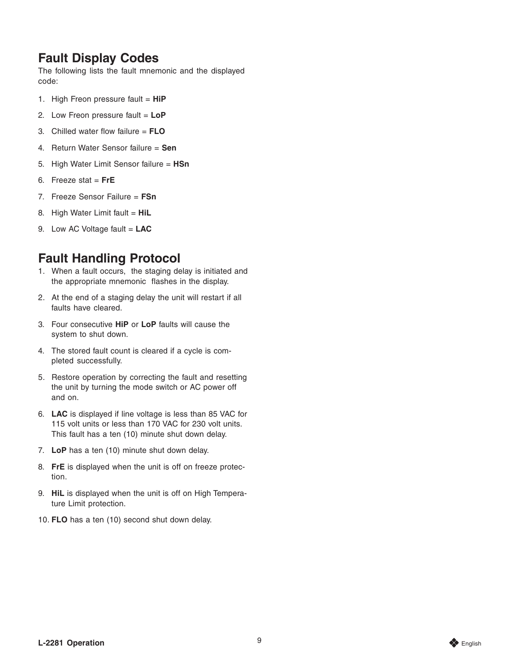#### <span id="page-8-0"></span>**Fault Display Codes**

The following lists the fault mnemonic and the displayed code:

- 1. High Freon pressure fault = **HiP**
- 2. Low Freon pressure fault = **LoP**
- 3. Chilled water flow failure = **FLO**
- 4. Return Water Sensor failure = **Sen**
- 5. High Water Limit Sensor failure = **HSn**
- 6. Freeze stat = **FrE**
- 7. Freeze Sensor Failure = **FSn**
- 8. High Water Limit fault = **HiL**
- 9. Low AC Voltage fault = **LAC**

### **Fault Handling Protocol**

- 1. When a fault occurs, the staging delay is initiated and the appropriate mnemonic flashes in the display.
- 2. At the end of a staging delay the unit will restart if all faults have cleared.
- 3. Four consecutive **HiP** or **LoP** faults will cause the system to shut down.
- 4. The stored fault count is cleared if a cycle is completed successfully.
- 5. Restore operation by correcting the fault and resetting the unit by turning the mode switch or AC power off and on.
- 6. **LAC** is displayed if line voltage is less than 85 VAC for 115 volt units or less than 170 VAC for 230 volt units. This fault has a ten (10) minute shut down delay.
- 7. **LoP** has a ten (10) minute shut down delay.
- 8. **FrE** is displayed when the unit is off on freeze protection.
- 9. **HiL** is displayed when the unit is off on High Temperature Limit protection.
- 10. **FLO** has a ten (10) second shut down delay.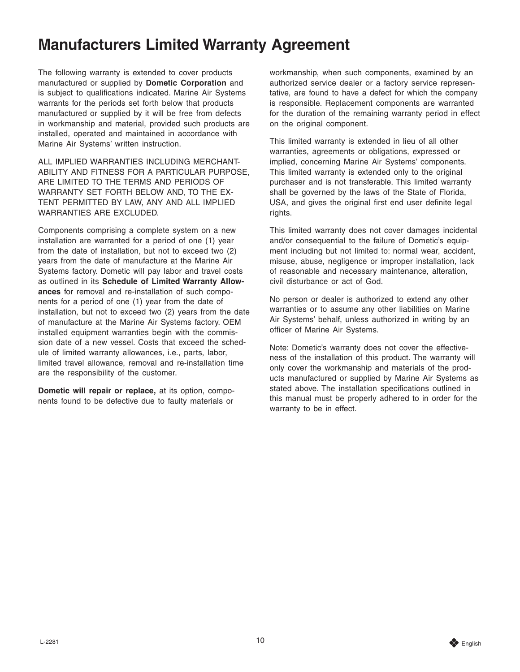## <span id="page-9-0"></span>**Manufacturers Limited Warranty Agreement**

The following warranty is extended to cover products manufactured or supplied by **Dometic Corporation** and is subject to qualifications indicated. Marine Air Systems warrants for the periods set forth below that products manufactured or supplied by it will be free from defects in workmanship and material, provided such products are installed, operated and maintained in accordance with Marine Air Systems' written instruction.

ALL IMPLIED WARRANTIES INCLUDING MERCHANT-ABILITY AND FITNESS FOR A PARTICULAR PURPOSE, ARE LIMITED TO THE TERMS AND PERIODS OF WARRANTY SET FORTH BELOW AND, TO THE EX-TENT PERMITTED BY LAW, ANY AND ALL IMPLIED WARRANTIES ARE EXCLUDED.

Components comprising a complete system on a new installation are warranted for a period of one (1) year from the date of installation, but not to exceed two (2) years from the date of manufacture at the Marine Air Systems factory. Dometic will pay labor and travel costs as outlined in its **Schedule of Limited Warranty Allowances** for removal and re-installation of such components for a period of one (1) year from the date of installation, but not to exceed two (2) years from the date of manufacture at the Marine Air Systems factory. OEM installed equipment warranties begin with the commission date of a new vessel. Costs that exceed the schedule of limited warranty allowances, i.e., parts, labor, limited travel allowance, removal and re-installation time are the responsibility of the customer.

**Dometic will repair or replace,** at its option, components found to be defective due to faulty materials or

workmanship, when such components, examined by an authorized service dealer or a factory service representative, are found to have a defect for which the company is responsible. Replacement components are warranted for the duration of the remaining warranty period in effect on the original component.

This limited warranty is extended in lieu of all other warranties, agreements or obligations, expressed or implied, concerning Marine Air Systems' components. This limited warranty is extended only to the original purchaser and is not transferable. This limited warranty shall be governed by the laws of the State of Florida, USA, and gives the original first end user definite legal rights.

This limited warranty does not cover damages incidental and/or consequential to the failure of Dometic's equipment including but not limited to: normal wear, accident, misuse, abuse, negligence or improper installation, lack of reasonable and necessary maintenance, alteration, civil disturbance or act of God.

No person or dealer is authorized to extend any other warranties or to assume any other liabilities on Marine Air Systems' behalf, unless authorized in writing by an officer of Marine Air Systems.

Note: Dometic's warranty does not cover the effectiveness of the installation of this product. The warranty will only cover the workmanship and materials of the products manufactured or supplied by Marine Air Systems as stated above. The installation specifications outlined in this manual must be properly adhered to in order for the warranty to be in effect.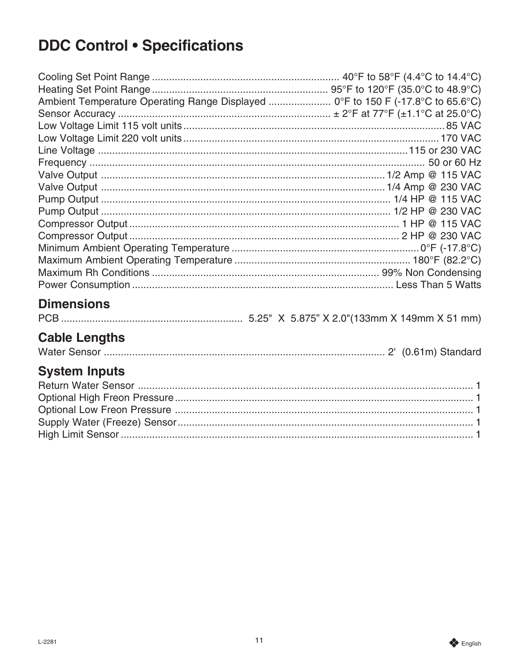## <span id="page-10-0"></span>**DDC Control . Specifications**

| Ambient Temperature Operating Range Displayed  0°F to 150 F (-17.8°C to 65.6°C) |  |
|---------------------------------------------------------------------------------|--|
|                                                                                 |  |
|                                                                                 |  |
|                                                                                 |  |
|                                                                                 |  |
|                                                                                 |  |
|                                                                                 |  |
|                                                                                 |  |
|                                                                                 |  |
|                                                                                 |  |
|                                                                                 |  |
|                                                                                 |  |
|                                                                                 |  |
|                                                                                 |  |
|                                                                                 |  |
|                                                                                 |  |

## **Dimensions**

## **Cable Lengths**

|--|--|--|

## **System Inputs**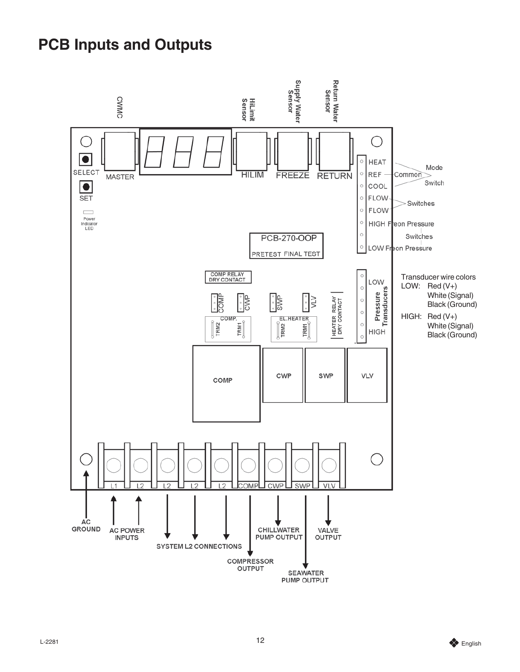## <span id="page-11-0"></span>**PCB Inputs and Outputs**